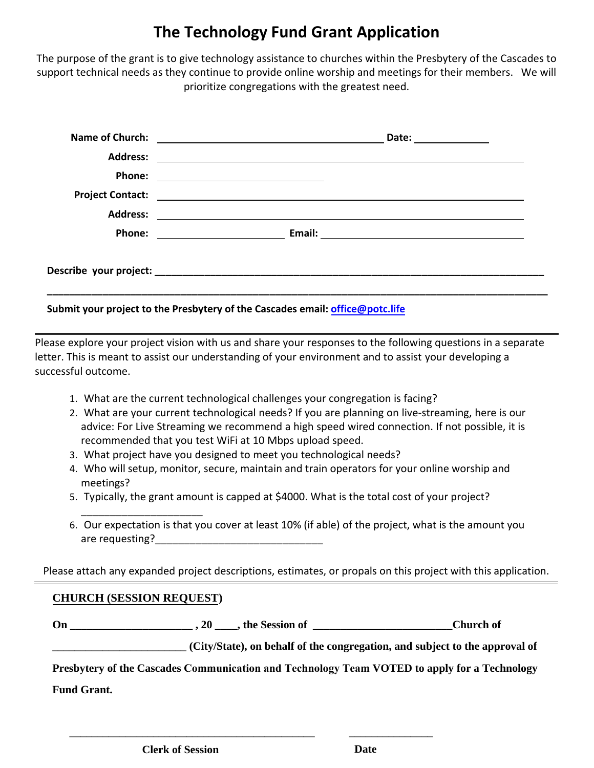## **The Technology Fund Grant Application**

The purpose of the grant is to give technology assistance to churches within the Presbytery of the Cascades to support technical needs as they continue to provide online worship and meetings for their members. We will prioritize congregations with the greatest need.

|                 | Date: ______________                                                                                                  |
|-----------------|-----------------------------------------------------------------------------------------------------------------------|
| <b>Address:</b> |                                                                                                                       |
|                 |                                                                                                                       |
|                 |                                                                                                                       |
| <b>Address:</b> | <u> 1989 - Andrea State Barbara, política establecera en la contrada de la contrada de la contrada de la contrada</u> |
|                 |                                                                                                                       |
|                 |                                                                                                                       |

## **Submit your project to the Presbytery of the Cascades email: office@potc.life**

Please explore your project vision with us and share your responses to the following questions in a separate letter. This is meant to assist our understanding of your environment and to assist your developing a successful outcome.

- 1. What are the current technological challenges your congregation is facing?
- 2. What are your current technological needs? If you are planning on live-streaming, here is our advice: For Live Streaming we recommend a high speed wired connection. If not possible, it is recommended that you test WiFi at 10 Mbps upload speed.
- 3. What project have you designed to meet you technological needs?
- 4. Who will setup, monitor, secure, maintain and train operators for your online worship and meetings?
- 5. Typically, the grant amount is capped at \$4000. What is the total cost of your project?
- \_\_\_\_\_\_\_\_\_\_\_\_\_\_\_\_\_\_\_\_\_ 6. Our expectation is that you cover at least 10% (if able) of the project, what is the amount you are requesting?

Please attach any expanded project descriptions, estimates, or propals on this project with this application.

## **CHURCH (SESSION REQUEST)**

On 20 the Session of Church of  $\overline{C}$ 

**\_\_\_\_\_\_\_\_\_\_\_\_\_\_\_\_\_\_\_\_\_\_\_\_\_\_\_\_\_\_\_\_\_\_\_\_\_\_\_\_\_\_\_\_ \_\_\_\_\_\_\_\_\_\_\_\_\_\_\_** 

**\_\_\_\_\_\_\_\_\_\_\_\_\_\_\_\_\_\_\_\_\_\_\_\_ (City/State), on behalf of the congregation, and subject to the approval of** 

**Presbytery of the Cascades Communication and Technology Team VOTED to apply for a Technology**

**Fund Grant.**